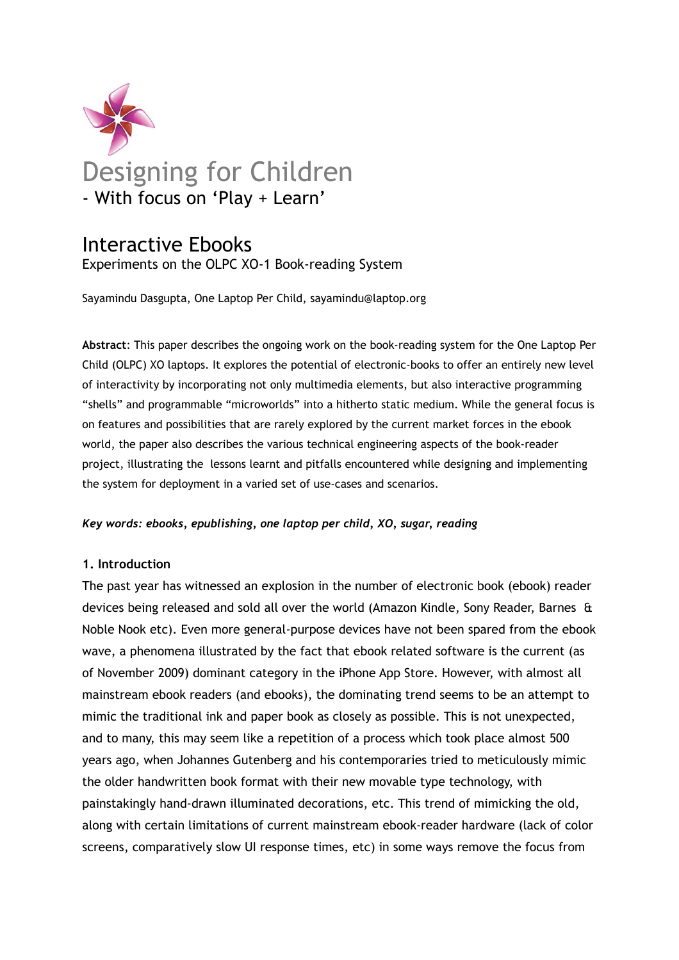

# Interactive Ebooks

Experiments on the OLPC XO-1 Book-reading System

Sayamindu Dasgupta, One Laptop Per Child, sayamindu@laptop.org

**Abstract**: This paper describes the ongoing work on the book-reading system for the One Laptop Per Child (OLPC) XO laptops. It explores the potential of electronic-books to offer an entirely new level of interactivity by incorporating not only multimedia elements, but also interactive programming "shells" and programmable "microworlds" into a hitherto static medium. While the general focus is on features and possibilities that are rarely explored by the current market forces in the ebook world, the paper also describes the various technical engineering aspects of the book-reader project, illustrating the lessons learnt and pitfalls encountered while designing and implementing the system for deployment in a varied set of use-cases and scenarios.

# *Key words: ebooks, epublishing, one laptop per child, XO, sugar, reading*

# **1. Introduction**

The past year has witnessed an explosion in the number of electronic book (ebook) reader devices being released and sold all over the world (Amazon Kindle, Sony Reader, Barnes & Noble Nook etc). Even more general-purpose devices have not been spared from the ebook wave, a phenomena illustrated by the fact that ebook related software is the current (as of November 2009) dominant category in the iPhone App Store. However, with almost all mainstream ebook readers (and ebooks), the dominating trend seems to be an attempt to mimic the traditional ink and paper book as closely as possible. This is not unexpected, and to many, this may seem like a repetition of a process which took place almost 500 years ago, when Johannes Gutenberg and his contemporaries tried to meticulously mimic the older handwritten book format with their new movable type technology, with painstakingly hand-drawn illuminated decorations, etc. This trend of mimicking the old, along with certain limitations of current mainstream ebook-reader hardware (lack of color screens, comparatively slow UI response times, etc) in some ways remove the focus from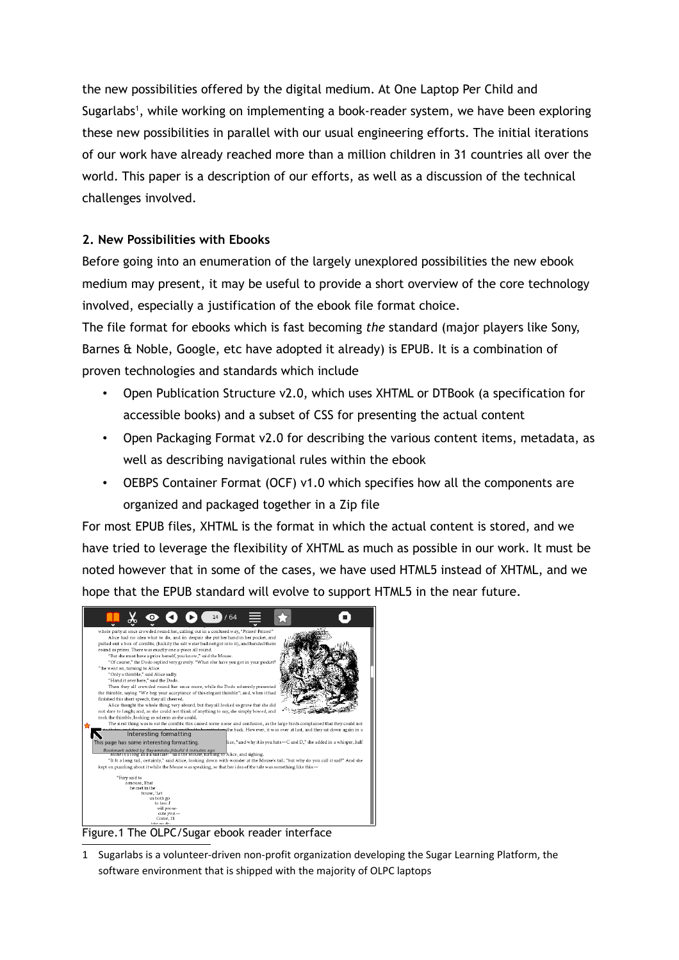the new possibilities offered by the digital medium. At One Laptop Per Child and Sugarlabs<sup>[1](#page-1-0)</sup>, while working on implementing a book-reader system, we have been exploring these new possibilities in parallel with our usual engineering efforts. The initial iterations of our work have already reached more than a million children in 31 countries all over the world. This paper is a description of our efforts, as well as a discussion of the technical challenges involved.

# **2. New Possibilities with Ebooks**

Before going into an enumeration of the largely unexplored possibilities the new ebook medium may present, it may be useful to provide a short overview of the core technology involved, especially a justification of the ebook file format choice.

The file format for ebooks which is fast becoming *the* standard (major players like Sony, Barnes & Noble, Google, etc have adopted it already) is EPUB. It is a combination of proven technologies and standards which include

- Open Publication Structure v2.0, which uses XHTML or DTBook (a specification for accessible books) and a subset of CSS for presenting the actual content
- Open Packaging Format v2.0 for describing the various content items, metadata, as well as describing navigational rules within the ebook
- OEBPS Container Format (OCF) v1.0 which specifies how all the components are organized and packaged together in a Zip file

For most EPUB files, XHTML is the format in which the actual content is stored, and we have tried to leverage the flexibility of XHTML as much as possible in our work. It must be noted however that in some of the cases, we have used HTML5 instead of XHTML, and we hope that the EPUB standard will evolve to support HTML5 in the near future.



Figure.1 The OLPC/Sugar ebook reader interface

<span id="page-1-0"></span>1 Sugarlabs is a volunteer-driven non-profit organization developing the Sugar Learning Platform, the software environment that is shipped with the majority of OLPC laptops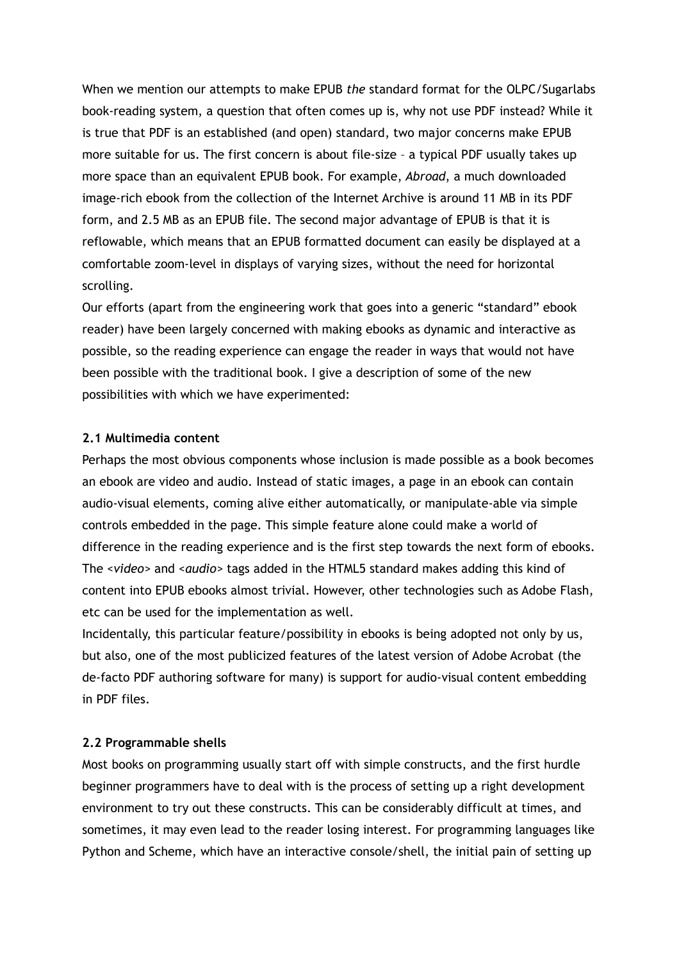When we mention our attempts to make EPUB *the* standard format for the OLPC/Sugarlabs book-reading system, a question that often comes up is, why not use PDF instead? While it is true that PDF is an established (and open) standard, two major concerns make EPUB more suitable for us. The first concern is about file-size – a typical PDF usually takes up more space than an equivalent EPUB book. For example, *Abroad*, a much downloaded image-rich ebook from the collection of the Internet Archive is around 11 MB in its PDF form, and 2.5 MB as an EPUB file. The second major advantage of EPUB is that it is reflowable, which means that an EPUB formatted document can easily be displayed at a comfortable zoom-level in displays of varying sizes, without the need for horizontal scrolling.

Our efforts (apart from the engineering work that goes into a generic "standard" ebook reader) have been largely concerned with making ebooks as dynamic and interactive as possible, so the reading experience can engage the reader in ways that would not have been possible with the traditional book. I give a description of some of the new possibilities with which we have experimented:

## **2.1 Multimedia content**

Perhaps the most obvious components whose inclusion is made possible as a book becomes an ebook are video and audio. Instead of static images, a page in an ebook can contain audio-visual elements, coming alive either automatically, or manipulate-able via simple controls embedded in the page. This simple feature alone could make a world of difference in the reading experience and is the first step towards the next form of ebooks. The *<video>* and *<audio>* tags added in the HTML5 standard makes adding this kind of content into EPUB ebooks almost trivial. However, other technologies such as Adobe Flash, etc can be used for the implementation as well.

Incidentally, this particular feature/possibility in ebooks is being adopted not only by us, but also, one of the most publicized features of the latest version of Adobe Acrobat (the de-facto PDF authoring software for many) is support for audio-visual content embedding in PDF files.

# **2.2 Programmable shells**

Most books on programming usually start off with simple constructs, and the first hurdle beginner programmers have to deal with is the process of setting up a right development environment to try out these constructs. This can be considerably difficult at times, and sometimes, it may even lead to the reader losing interest. For programming languages like Python and Scheme, which have an interactive console/shell, the initial pain of setting up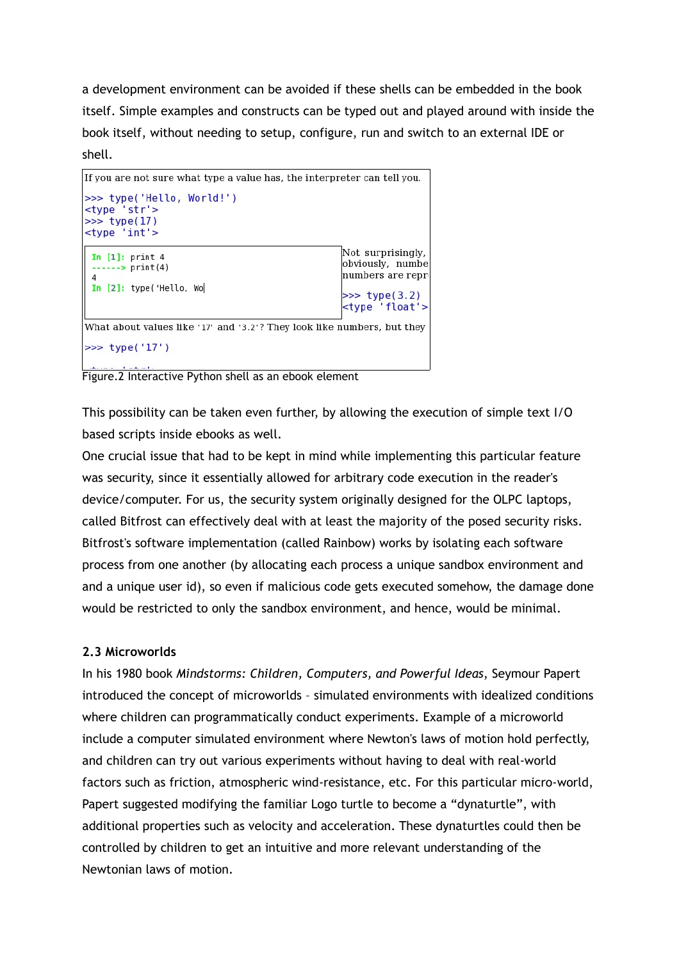a development environment can be avoided if these shells can be embedded in the book itself. Simple examples and constructs can be typed out and played around with inside the book itself, without needing to setup, configure, run and switch to an external IDE or shell.



Figure.2 Interactive Python shell as an ebook element

This possibility can be taken even further, by allowing the execution of simple text I/O based scripts inside ebooks as well.

One crucial issue that had to be kept in mind while implementing this particular feature was security, since it essentially allowed for arbitrary code execution in the reader's device/computer. For us, the security system originally designed for the OLPC laptops, called Bitfrost can effectively deal with at least the majority of the posed security risks. Bitfrost's software implementation (called Rainbow) works by isolating each software process from one another (by allocating each process a unique sandbox environment and and a unique user id), so even if malicious code gets executed somehow, the damage done would be restricted to only the sandbox environment, and hence, would be minimal.

# **2.3 Microworlds**

In his 1980 book *Mindstorms: Children, Computers, and Powerful Ideas*, Seymour Papert introduced the concept of microworlds – simulated environments with idealized conditions where children can programmatically conduct experiments. Example of a microworld include a computer simulated environment where Newton's laws of motion hold perfectly, and children can try out various experiments without having to deal with real-world factors such as friction, atmospheric wind-resistance, etc. For this particular micro-world, Papert suggested modifying the familiar Logo turtle to become a "dynaturtle", with additional properties such as velocity and acceleration. These dynaturtles could then be controlled by children to get an intuitive and more relevant understanding of the Newtonian laws of motion.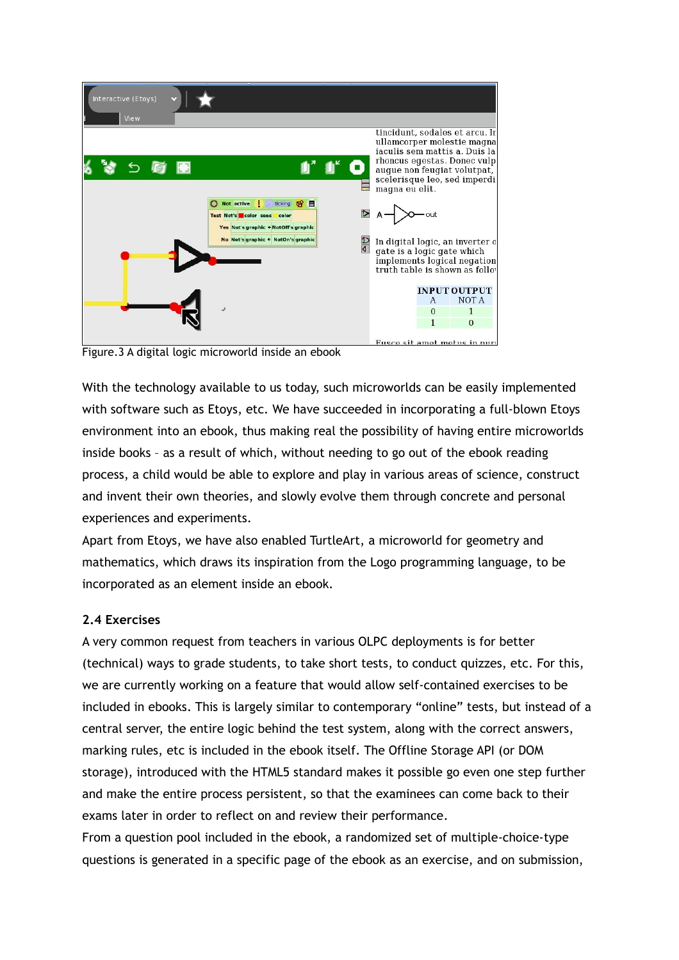

Figure.3 A digital logic microworld inside an ebook

With the technology available to us today, such microworlds can be easily implemented with software such as Etoys, etc. We have succeeded in incorporating a full-blown Etoys environment into an ebook, thus making real the possibility of having entire microworlds inside books – as a result of which, without needing to go out of the ebook reading process, a child would be able to explore and play in various areas of science, construct and invent their own theories, and slowly evolve them through concrete and personal experiences and experiments.

Apart from Etoys, we have also enabled TurtleArt, a microworld for geometry and mathematics, which draws its inspiration from the Logo programming language, to be incorporated as an element inside an ebook.

# **2.4 Exercises**

A very common request from teachers in various OLPC deployments is for better (technical) ways to grade students, to take short tests, to conduct quizzes, etc. For this, we are currently working on a feature that would allow self-contained exercises to be included in ebooks. This is largely similar to contemporary "online" tests, but instead of a central server, the entire logic behind the test system, along with the correct answers, marking rules, etc is included in the ebook itself. The Offline Storage API (or DOM storage), introduced with the HTML5 standard makes it possible go even one step further and make the entire process persistent, so that the examinees can come back to their exams later in order to reflect on and review their performance.

From a question pool included in the ebook, a randomized set of multiple-choice-type questions is generated in a specific page of the ebook as an exercise, and on submission,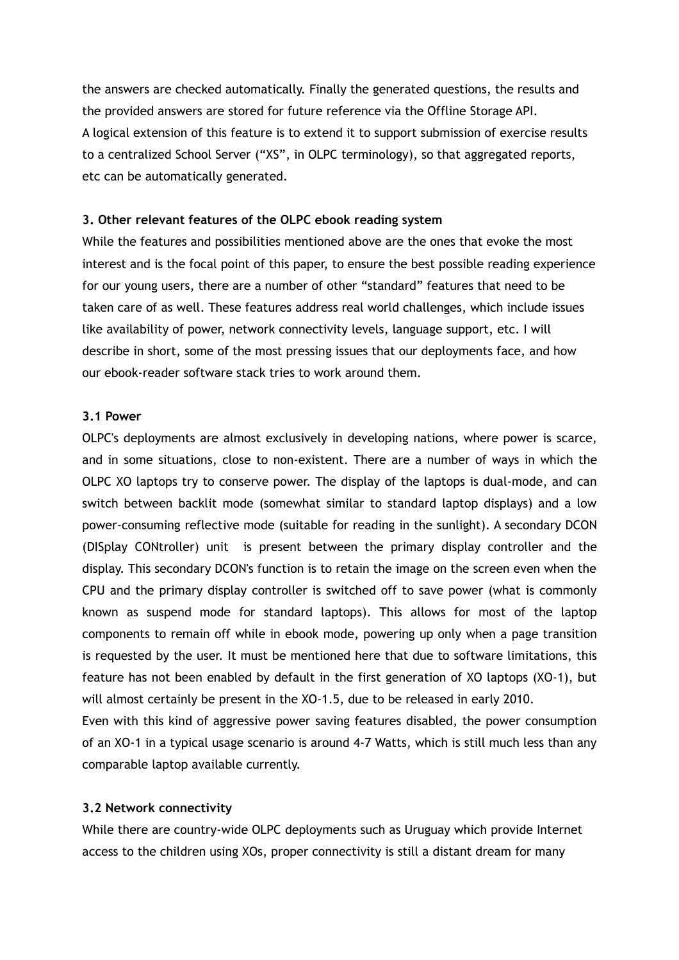the answers are checked automatically. Finally the generated questions, the results and the provided answers are stored for future reference via the Offline Storage API. A logical extension of this feature is to extend it to support submission of exercise results to a centralized School Server ("XS", in OLPC terminology), so that aggregated reports, etc can be automatically generated.

#### **3. Other relevant features of the OLPC ebook reading system**

While the features and possibilities mentioned above are the ones that evoke the most interest and is the focal point of this paper, to ensure the best possible reading experience for our young users, there are a number of other "standard" features that need to be taken care of as well. These features address real world challenges, which include issues like availability of power, network connectivity levels, language support, etc. I will describe in short, some of the most pressing issues that our deployments face, and how our ebook-reader software stack tries to work around them.

#### **3.1 Power**

OLPC's deployments are almost exclusively in developing nations, where power is scarce, and in some situations, close to non-existent. There are a number of ways in which the OLPC XO laptops try to conserve power. The display of the laptops is dual-mode, and can switch between backlit mode (somewhat similar to standard laptop displays) and a low power-consuming reflective mode (suitable for reading in the sunlight). A secondary DCON (DISplay CONtroller) unit is present between the primary display controller and the display. This secondary DCON's function is to retain the image on the screen even when the CPU and the primary display controller is switched off to save power (what is commonly known as suspend mode for standard laptops). This allows for most of the laptop components to remain off while in ebook mode, powering up only when a page transition is requested by the user. It must be mentioned here that due to software limitations, this feature has not been enabled by default in the first generation of XO laptops (XO-1), but will almost certainly be present in the XO-1.5, due to be released in early 2010.

Even with this kind of aggressive power saving features disabled, the power consumption of an XO-1 in a typical usage scenario is around 4-7 Watts, which is still much less than any comparable laptop available currently.

#### **3.2 Network connectivity**

While there are country-wide OLPC deployments such as Uruguay which provide Internet access to the children using XOs, proper connectivity is still a distant dream for many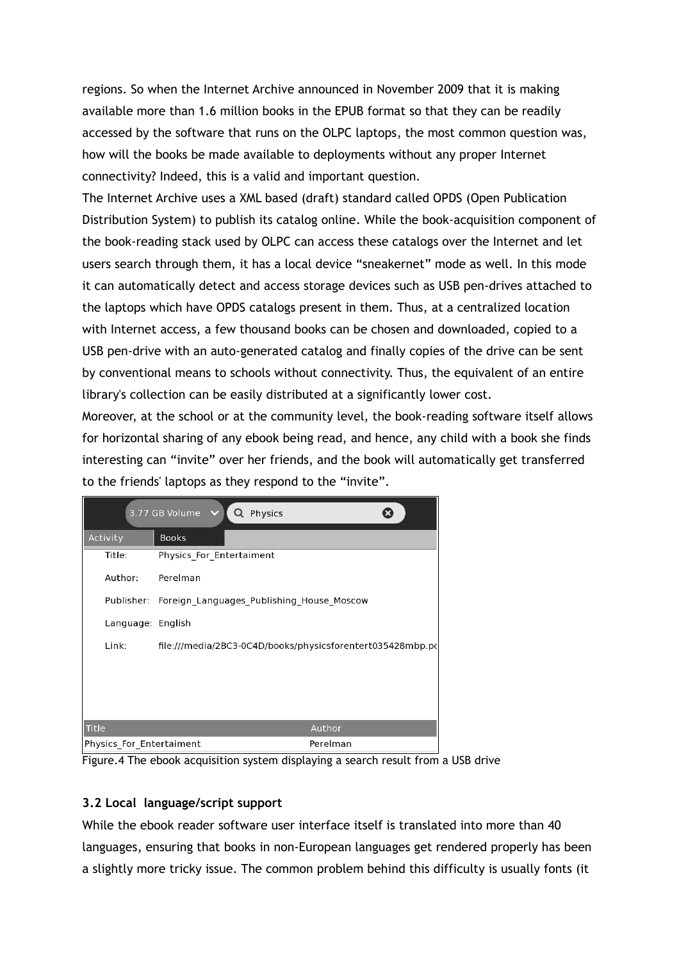regions. So when the Internet Archive announced in November 2009 that it is making available more than 1.6 million books in the EPUB format so that they can be readily accessed by the software that runs on the OLPC laptops, the most common question was, how will the books be made available to deployments without any proper Internet connectivity? Indeed, this is a valid and important question.

The Internet Archive uses a XML based (draft) standard called OPDS (Open Publication Distribution System) to publish its catalog online. While the book-acquisition component of the book-reading stack used by OLPC can access these catalogs over the Internet and let users search through them, it has a local device "sneakernet" mode as well. In this mode it can automatically detect and access storage devices such as USB pen-drives attached to the laptops which have OPDS catalogs present in them. Thus, at a centralized location with Internet access, a few thousand books can be chosen and downloaded, copied to a USB pen-drive with an auto-generated catalog and finally copies of the drive can be sent by conventional means to schools without connectivity. Thus, the equivalent of an entire library's collection can be easily distributed at a significantly lower cost.

Moreover, at the school or at the community level, the book-reading software itself allows for horizontal sharing of any ebook being read, and hence, any child with a book she finds interesting can "invite" over her friends, and the book will automatically get transferred to the friends' laptops as they respond to the "invite".

| 3.77 GB Volume<br>Physics |                                                            |          |
|---------------------------|------------------------------------------------------------|----------|
| Activity                  | <b>Books</b>                                               |          |
| Title:                    | Physics For Entertaiment                                   |          |
| Author:                   | Perelman                                                   |          |
| Publisher:                | Foreign Languages Publishing House Moscow                  |          |
| Language: English         |                                                            |          |
| Link:                     | file:///media/2BC3-0C4D/books/physicsforentert035428mbp.pc |          |
|                           |                                                            |          |
|                           |                                                            |          |
|                           |                                                            |          |
| <b>Title</b>              |                                                            | Author   |
| Physics For Entertaiment  |                                                            | Perelman |

Figure.4 The ebook acquisition system displaying a search result from a USB drive

# **3.2 Local language/script support**

While the ebook reader software user interface itself is translated into more than 40 languages, ensuring that books in non-European languages get rendered properly has been a slightly more tricky issue. The common problem behind this difficulty is usually fonts (it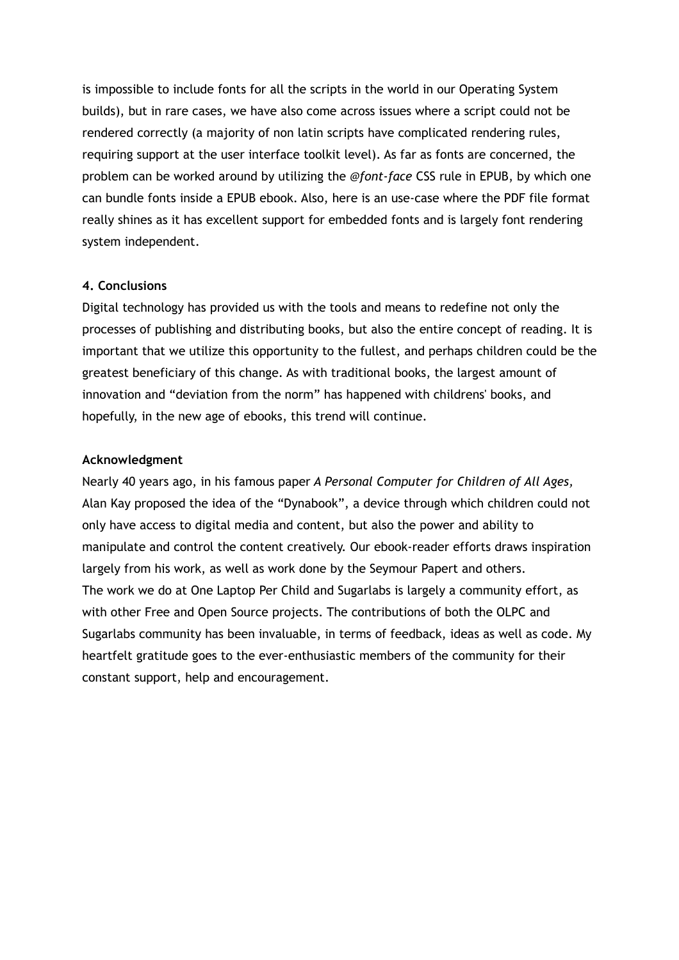is impossible to include fonts for all the scripts in the world in our Operating System builds), but in rare cases, we have also come across issues where a script could not be rendered correctly (a majority of non latin scripts have complicated rendering rules, requiring support at the user interface toolkit level). As far as fonts are concerned, the problem can be worked around by utilizing the *@font-face* CSS rule in EPUB, by which one can bundle fonts inside a EPUB ebook. Also, here is an use-case where the PDF file format really shines as it has excellent support for embedded fonts and is largely font rendering system independent.

## **4. Conclusions**

Digital technology has provided us with the tools and means to redefine not only the processes of publishing and distributing books, but also the entire concept of reading. It is important that we utilize this opportunity to the fullest, and perhaps children could be the greatest beneficiary of this change. As with traditional books, the largest amount of innovation and "deviation from the norm" has happened with childrens' books, and hopefully, in the new age of ebooks, this trend will continue.

## **Acknowledgment**

Nearly 40 years ago, in his famous paper *A Personal Computer for Children of All Ages,* Alan Kay proposed the idea of the "Dynabook", a device through which children could not only have access to digital media and content, but also the power and ability to manipulate and control the content creatively. Our ebook-reader efforts draws inspiration largely from his work, as well as work done by the Seymour Papert and others. The work we do at One Laptop Per Child and Sugarlabs is largely a community effort, as with other Free and Open Source projects. The contributions of both the OLPC and Sugarlabs community has been invaluable, in terms of feedback, ideas as well as code. My heartfelt gratitude goes to the ever-enthusiastic members of the community for their constant support, help and encouragement.